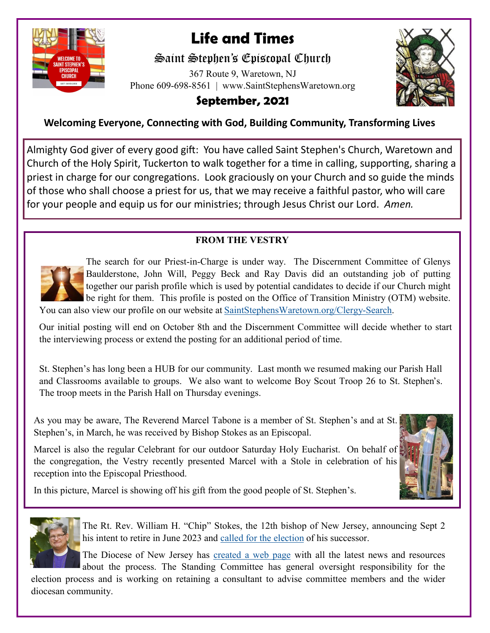

# **Life and Times**

# Saint Stephen's Episcopal Church

367 Route 9, Waretown, NJ Phone 609-698-8561 | www.SaintStephensWaretown.org



# **September, 2021**

### **Welcoming Everyone, Connecting with God, Building Community, Transforming Lives**

Almighty God giver of every good gift: You have called Saint Stephen's Church, Waretown and Church of the Holy Spirit, Tuckerton to walk together for a time in calling, supporting, sharing a priest in charge for our congregations. Look graciously on your Church and so guide the minds of those who shall choose a priest for us, that we may receive a faithful pastor, who will care for your people and equip us for our ministries; through Jesus Christ our Lord. *Amen.*

### **FROM THE VESTRY**



The search for our Priest-in-Charge is under way. The Discernment Committee of Glenys Baulderstone, John Will, Peggy Beck and Ray Davis did an outstanding job of putting together our parish profile which is used by potential candidates to decide if our Church might be right for them. This profile is posted on the Office of Transition Ministry (OTM) website.

You can also view our profile on our website at [SaintStephensWaretown.org/Clergy](SaintStephensWaretown.org/Clergy-Search)-Search.

Our initial posting will end on October 8th and the Discernment Committee will decide whether to start the interviewing process or extend the posting for an additional period of time.

St. Stephen's has long been a HUB for our community. Last month we resumed making our Parish Hall and Classrooms available to groups. We also want to welcome Boy Scout Troop 26 to St. Stephen's. The troop meets in the Parish Hall on Thursday evenings.

As you may be aware, The Reverend Marcel Tabone is a member of St. Stephen's and at St. Stephen's, in March, he was received by Bishop Stokes as an Episcopal.

Marcel is also the regular Celebrant for our outdoor Saturday Holy Eucharist. On behalf of the congregation, the Vestry recently presented Marcel with a Stole in celebration of his reception into the Episcopal Priesthood.



In this picture, Marcel is showing off his gift from the good people of St. Stephen's.



The Rt. Rev. William H. "Chip" Stokes, the 12th bishop of New Jersey, announcing Sept 2 his intent to retire in June 2023 and [called for the election](https://nam11.safelinks.protection.outlook.com/?url=http%3A%2F%2Fdioceseofnj.org%2Fwp-content%2Fuploads%2F2021%2F09%2FLetter-to-the-People-of-the-Diocese-of-New-Jersey-Chip-C.pdf&data=04%7C01%7Cdpaulsen%40episcopalchurch.org%7C9773f6231174487e016e08d96e469e99) of his successor.

The Diocese of New Jersey has [created a web page](https://nam11.safelinks.protection.outlook.com/?url=https%3A%2F%2Fdioceseofnj.org%2Fknow_your_story%2Fbishop-stokes-call-for-election-of-13th-bishop-of-the-diocese%2F&data=04%7C01%7Cdpaulsen%40episcopalchurch.org%7C9773f6231174487e016e08d96e469e99%7Ca61a1be80) with all the latest news and resources

about the process. The Standing Committee has general oversight responsibility for the election process and is working on retaining a consultant to advise committee members and the wider diocesan community.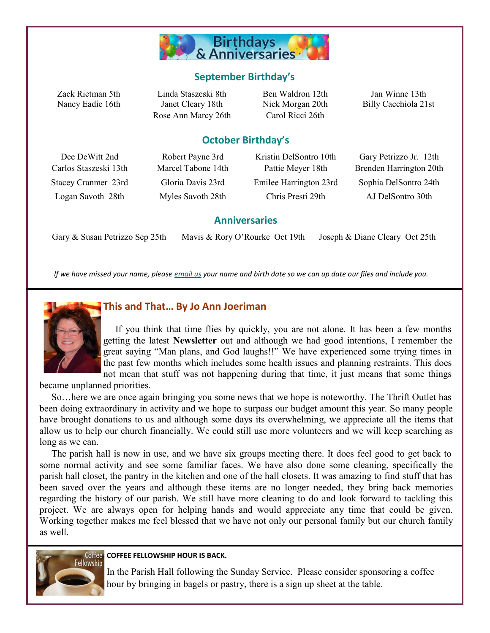

### **September Birthday's**

Nancy Eadie 16th Janet Cleary 18th Nick Morgan 20th Billy Cacchiola 21st Rose Ann Marcy 26th Carol Ricci 26th

Zack Rietman 5th Linda Staszeski 8th Ben Waldron 12th Jan Winne 13th

### **October Birthday's**

Dee DeWitt 2nd Robert Payne 3rd Kristin DelSontro 10th Gary Petrizzo Jr. 12th Stacey Cranmer 23rd Gloria Davis 23rd Emilee Harrington 23rd Sophia DelSontro 24th Logan Savoth 28th Myles Savoth 28th Chris Presti 29th AJ DelSontro 30th

Carlos Staszeski 13th Marcel Tabone 14th Pattie Meyer 18th Brenden Harrington 20th

#### **Anniversaries**

Gary & Susan Petrizzo Sep 25th Mavis & Rory O'Rourke Oct 19th Joseph & Diane Cleary Oct 25th

*If we have missed your name, please [email us](mailto:parishadmin@ststephenswaretown.com?subject=Birthday%20List%20Update) your name and birth date so we can up date our files and include you.*



### **This and That… By Jo Ann Joeriman**

 If you think that time flies by quickly, you are not alone. It has been a few months getting the latest **Newsletter** out and although we had good intentions, I remember the great saying "Man plans, and God laughs!!" We have experienced some trying times in the past few months which includes some health issues and planning restraints. This does not mean that stuff was not happening during that time, it just means that some things

became unplanned priorities.

 So…here we are once again bringing you some news that we hope is noteworthy. The Thrift Outlet has been doing extraordinary in activity and we hope to surpass our budget amount this year. So many people have brought donations to us and although some days its overwhelming, we appreciate all the items that allow us to help our church financially. We could still use more volunteers and we will keep searching as long as we can.

 The parish hall is now in use, and we have six groups meeting there. It does feel good to get back to some normal activity and see some familiar faces. We have also done some cleaning, specifically the parish hall closet, the pantry in the kitchen and one of the hall closets. It was amazing to find stuff that has been saved over the years and although these items are no longer needed, they bring back memories regarding the history of our parish. We still have more cleaning to do and look forward to tackling this project. We are always open for helping hands and would appreciate any time that could be given. Working together makes me feel blessed that we have not only our personal family but our church family as well.



#### **COFFEE FELLOWSHIP HOUR IS BACK.**

In the Parish Hall following the Sunday Service. Please consider sponsoring a coffee hour by bringing in bagels or pastry, there is a sign up sheet at the table.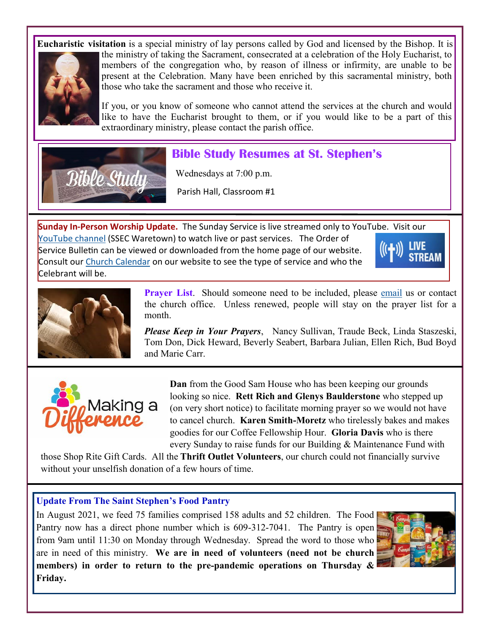**Eucharistic visitation** is a special ministry of lay persons called by God and licensed by the Bishop. It is



the ministry of taking the Sacrament, consecrated at a celebration of the Holy Eucharist, to members of the congregation who, by reason of illness or infirmity, are unable to be present at the Celebration. Many have been enriched by this sacramental ministry, both those who take the sacrament and those who receive it.

If you, or you know of someone who cannot attend the services at the church and would like to have the Eucharist brought to them, or if you would like to be a part of this extraordinary ministry, please contact the parish office.



## **Bible Study Resumes at St. Stephen's**

Wednesdays at 7:00 p.m.

Parish Hall, Classroom #1

**Sunday In-Person Worship Update.** The Sunday Service is live streamed only to YouTube. Visit our [YouTube channel](https://www.youtube.com/channel/UCNIgy5hiB5oKXcRGJuKROdQ/videos) (SSEC Waretown) to watch live or past services. The Order of Service Bulletin can be viewed or downloaded from the home page of our website. Consult our [Church Calendar](https://saintstephenswaretown.org/calendar) on our website to see the type of service and who the Celebrant will be.





**Prayer List**. Should someone need to be included, please [email](mailto:saintstephenswaretown@gmail.com?subject=Prayer%20List) us or contact the church office. Unless renewed, people will stay on the prayer list for a month.

*Please Keep in Your Prayers*, Nancy Sullivan, Traude Beck, Linda Staszeski, Tom Don, Dick Heward, Beverly Seabert, Barbara Julian, Ellen Rich, Bud Boyd and Marie Carr.



**Dan** from the Good Sam House who has been keeping our grounds looking so nice. **Rett Rich and Glenys Baulderstone** who stepped up (on very short notice) to facilitate morning prayer so we would not have to cancel church. **Karen Smith-Moretz** who tirelessly bakes and makes goodies for our Coffee Fellowship Hour. **Gloria Davis** who is there every Sunday to raise funds for our Building & Maintenance Fund with

those Shop Rite Gift Cards. All the **Thrift Outlet Volunteers**, our church could not financially survive without your unselfish donation of a few hours of time.

### **Update From The Saint Stephen's Food Pantry**

In August 2021, we feed 75 families comprised 158 adults and 52 children. The Food Pantry now has a direct phone number which is 609-312-7041. The Pantry is open from 9am until 11:30 on Monday through Wednesday. Spread the word to those who are in need of this ministry. **We are in need of volunteers (need not be church members) in order to return to the pre-pandemic operations on Thursday & Friday.** 

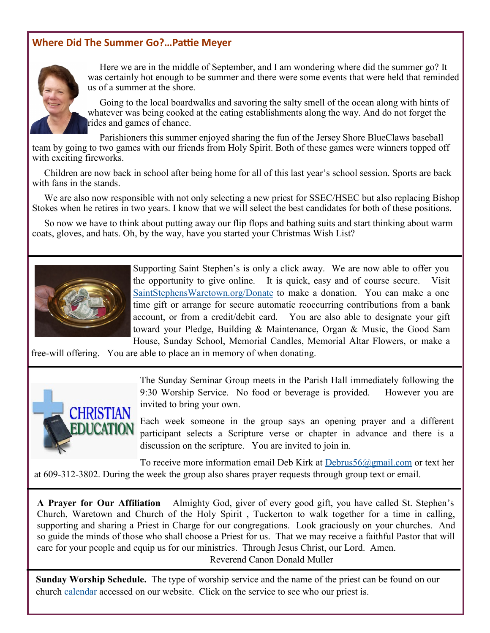### **Where Did The Summer Go?…Pattie Meyer**



 Here we are in the middle of September, and I am wondering where did the summer go? It was certainly hot enough to be summer and there were some events that were held that reminded us of a summer at the shore.

 Going to the local boardwalks and savoring the salty smell of the ocean along with hints of whatever was being cooked at the eating establishments along the way. And do not forget the rides and games of chance.

 Parishioners this summer enjoyed sharing the fun of the Jersey Shore BlueClaws baseball team by going to two games with our friends from Holy Spirit. Both of these games were winners topped off with exciting fireworks.

 Children are now back in school after being home for all of this last year's school session. Sports are back with fans in the stands.

We are also now responsible with not only selecting a new priest for SSEC/HSEC but also replacing Bishop Stokes when he retires in two years. I know that we will select the best candidates for both of these positions.

 So now we have to think about putting away our flip flops and bathing suits and start thinking about warm coats, gloves, and hats. Oh, by the way, have you started your Christmas Wish List?



Supporting Saint Stephen's is only a click away. We are now able to offer you the opportunity to give online. It is quick, easy and of course secure. Visit [SaintStephensWaretown.org/Donate](https://saintstephenswaretown.org/donate) to make a donation. You can make a one time gift or arrange for secure automatic reoccurring contributions from a bank account, or from a credit/debit card. You are also able to designate your gift toward your Pledge, Building & Maintenance, Organ & Music, the Good Sam House, Sunday School, Memorial Candles, Memorial Altar Flowers, or make a

free-will offering. You are able to place an in memory of when donating.



The Sunday Seminar Group meets in the Parish Hall immediately following the 9:30 Worship Service. No food or beverage is provided. However you are invited to bring your own.

Each week someone in the group says an opening prayer and a different participant selects a Scripture verse or chapter in advance and there is a discussion on the scripture. You are invited to join in.

To receive more information email Deb Kirk at [Debrus56@gmail.com](mailto:Debrus56@gmail.com) or text her at 609-312-3802. During the week the group also shares prayer requests through group text or email.

**A Prayer for Our Affiliation** Almighty God, giver of every good gift, you have called St. Stephen's Church, Waretown and Church of the Holy Spirit , Tuckerton to walk together for a time in calling, supporting and sharing a Priest in Charge for our congregations. Look graciously on your churches. And so guide the minds of those who shall choose a Priest for us. That we may receive a faithful Pastor that will care for your people and equip us for our ministries. Through Jesus Christ, our Lord. Amen.

Reverend Canon Donald Muller

**Sunday Worship Schedule.** The type of worship service and the name of the priest can be found on our church [calendar](https://saintstephenswaretown.org/calendar) accessed on our website. Click on the service to see who our priest is.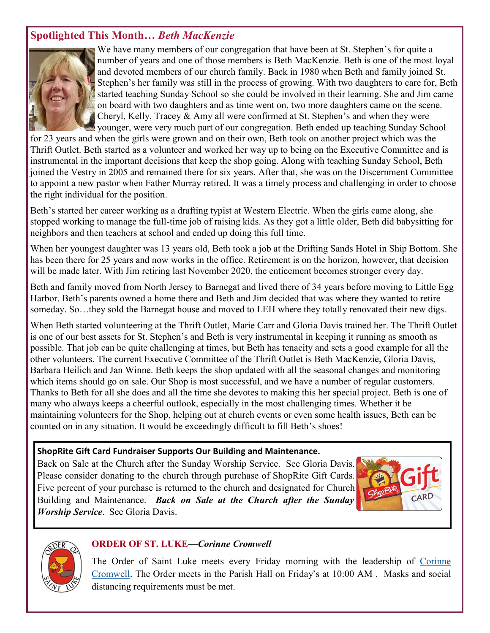### **Spotlighted This Month***… Beth MacKenzie*



We have many members of our congregation that have been at St. Stephen's for quite a number of years and one of those members is Beth MacKenzie. Beth is one of the most loyal and devoted members of our church family. Back in 1980 when Beth and family joined St. Stephen's her family was still in the process of growing. With two daughters to care for, Beth started teaching Sunday School so she could be involved in their learning. She and Jim came on board with two daughters and as time went on, two more daughters came on the scene. Cheryl, Kelly, Tracey  $\&$  Amy all were confirmed at St. Stephen's and when they were younger, were very much part of our congregation. Beth ended up teaching Sunday School

for 23 years and when the girls were grown and on their own, Beth took on another project which was the Thrift Outlet. Beth started as a volunteer and worked her way up to being on the Executive Committee and is instrumental in the important decisions that keep the shop going. Along with teaching Sunday School, Beth joined the Vestry in 2005 and remained there for six years. After that, she was on the Discernment Committee to appoint a new pastor when Father Murray retired. It was a timely process and challenging in order to choose the right individual for the position.

Beth's started her career working as a drafting typist at Western Electric. When the girls came along, she stopped working to manage the full-time job of raising kids. As they got a little older, Beth did babysitting for neighbors and then teachers at school and ended up doing this full time.

When her youngest daughter was 13 years old, Beth took a job at the Drifting Sands Hotel in Ship Bottom. She has been there for 25 years and now works in the office. Retirement is on the horizon, however, that decision will be made later. With Jim retiring last November 2020, the enticement becomes stronger every day.

Beth and family moved from North Jersey to Barnegat and lived there of 34 years before moving to Little Egg Harbor. Beth's parents owned a home there and Beth and Jim decided that was where they wanted to retire someday. So…they sold the Barnegat house and moved to LEH where they totally renovated their new digs.

When Beth started volunteering at the Thrift Outlet, Marie Carr and Gloria Davis trained her. The Thrift Outlet is one of our best assets for St. Stephen's and Beth is very instrumental in keeping it running as smooth as possible. That job can be quite challenging at times, but Beth has tenacity and sets a good example for all the other volunteers. The current Executive Committee of the Thrift Outlet is Beth MacKenzie, Gloria Davis, Barbara Heilich and Jan Winne. Beth keeps the shop updated with all the seasonal changes and monitoring which items should go on sale. Our Shop is most successful, and we have a number of regular customers. Thanks to Beth for all she does and all the time she devotes to making this her special project. Beth is one of many who always keeps a cheerful outlook, especially in the most challenging times. Whether it be maintaining volunteers for the Shop, helping out at church events or even some health issues, Beth can be counted on in any situation. It would be exceedingly difficult to fill Beth's shoes!

### **ShopRite Gift Card Fundraiser Supports Our Building and Maintenance.**

Back on Sale at the Church after the Sunday Worship Service. See Gloria Davis. Please consider donating to the church through purchase of ShopRite Gift Cards. Five percent of your purchase is returned to the church and designated for Church Building and Maintenance. *Back on Sale at the Church after the Sunday Worship Service*. See Gloria Davis.





### **ORDER OF ST. LUKE—***Corinne Cromwell*

The Order of Saint Luke meets every Friday morning with the leadership of Corinne [Cromwell.](mailto:Ccromwell172@comcast.net?subject=OSL) The Order meets in the Parish Hall on Friday's at 10:00 AM . Masks and social distancing requirements must be met.